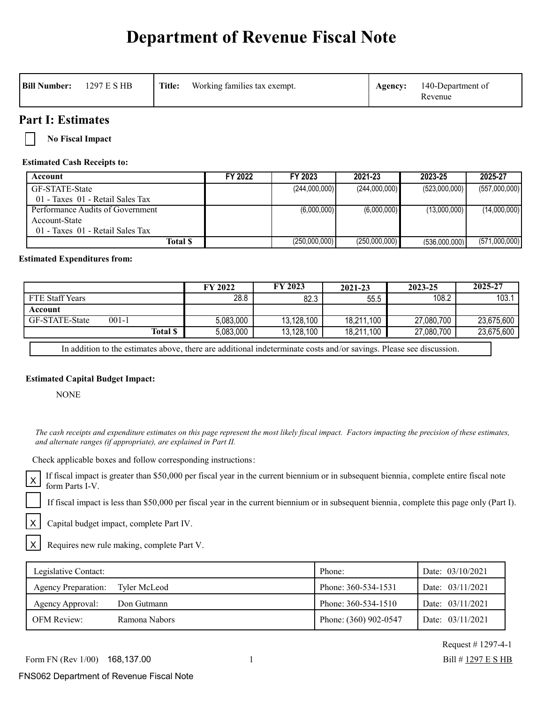# **Department of Revenue Fiscal Note**

| <b>Bill Number:</b> | 1297 E S HB | Title: | Working families tax exempt. | Agency: | 140-Department of<br>Revenue |
|---------------------|-------------|--------|------------------------------|---------|------------------------------|
|                     |             |        |                              |         |                              |

### **Part I: Estimates**

**No Fiscal Impact**

#### **Estimated Cash Receipts to:**

| Account                          | FY 2022 | FY 2023       | 2021-23       | 2023-25       | 2025-27       |
|----------------------------------|---------|---------------|---------------|---------------|---------------|
| GF-STATE-State                   |         | (244,000,000) | (244,000,000) | (523,000,000) | (557,000,000) |
| 01 - Taxes 01 - Retail Sales Tax |         |               |               |               |               |
| Performance Audits of Government |         | (6,000,000)   | (6,000,000)   | (13,000,000)  | (14,000,000)  |
| Account-State                    |         |               |               |               |               |
| 01 - Taxes 01 - Retail Sales Tax |         |               |               |               |               |
| Total \$                         |         | (250,000,000) | (250,000,000) | (536.000.000) | (571,000,000) |

#### **Estimated Expenditures from:**

|                                    | <b>FY 2022</b> | FY 2023    | 2021-23    | 2023-25    | 2025-27    |
|------------------------------------|----------------|------------|------------|------------|------------|
| <b>FTE Staff Years</b>             | 28.8           | 82.3       | 55.5       | 108.2      | 103.       |
| Account                            |                |            |            |            |            |
| <b>GF-STATE-State</b><br>$001 - 1$ | 5,083,000      | 13,128,100 | 18,211,100 | 27,080,700 | 23,675,600 |
| <b>Total \$</b>                    | 5,083,000      | 13,128,100 | 18,211,100 | 27,080,700 | 23,675,600 |
|                                    |                |            |            |            |            |

In addition to the estimates above, there are additional indeterminate costs and/or savings. Please see discussion.

#### **Estimated Capital Budget Impact:**

NONE

X

X

 *The cash receipts and expenditure estimates on this page represent the most likely fiscal impact. Factors impacting the precision of these estimates, and alternate ranges (if appropriate), are explained in Part II.* 

Check applicable boxes and follow corresponding instructions:

If fiscal impact is greater than \$50,000 per fiscal year in the current biennium or in subsequent biennia, complete entire fiscal note  $X$   $\Gamma$ <sup>11</sup> 11scar impact

If fiscal impact is less than \$50,000 per fiscal year in the current biennium or in subsequent biennia, complete this page only (Part I).

Capital budget impact, complete Part IV.

Requires new rule making, complete Part V.

| Legislative Contact:       |               | Phone:                | Date: 03/10/2021 |
|----------------------------|---------------|-----------------------|------------------|
| <b>Agency Preparation:</b> | Tyler McLeod  | Phone: 360-534-1531   | Date: 03/11/2021 |
| Agency Approval:           | Don Gutmann   | Phone: 360-534-1510   | Date: 03/11/2021 |
| <b>OFM Review:</b>         | Ramona Nabors | Phone: (360) 902-0547 | Date: 03/11/2021 |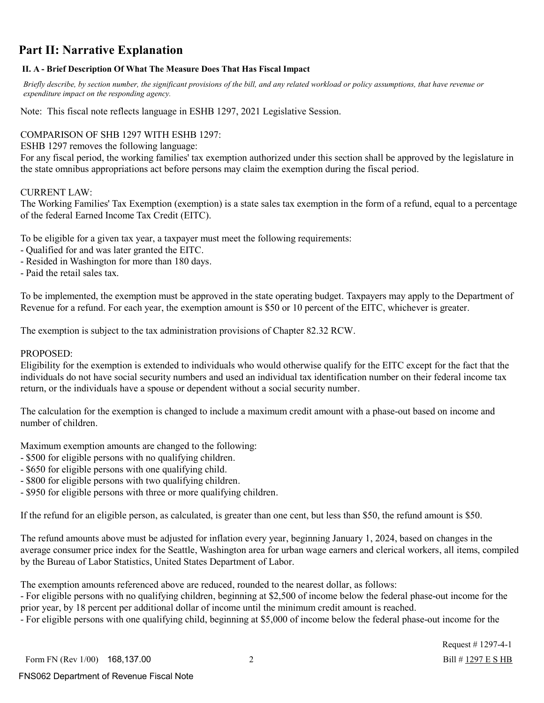## **Part II: Narrative Explanation**

#### **II. A - Brief Description Of What The Measure Does That Has Fiscal Impact**

 *Briefly describe, by section number, the significant provisions of the bill, and any related workload or policy assumptions, that have revenue or expenditure impact on the responding agency.*

Note: This fiscal note reflects language in ESHB 1297, 2021 Legislative Session.

#### COMPARISON OF SHB 1297 WITH ESHB 1297:

ESHB 1297 removes the following language:

For any fiscal period, the working families' tax exemption authorized under this section shall be approved by the legislature in the state omnibus appropriations act before persons may claim the exemption during the fiscal period.

#### CURRENT LAW:

The Working Families' Tax Exemption (exemption) is a state sales tax exemption in the form of a refund, equal to a percentage of the federal Earned Income Tax Credit (EITC).

To be eligible for a given tax year, a taxpayer must meet the following requirements:

- Qualified for and was later granted the EITC.
- Resided in Washington for more than 180 days.

- Paid the retail sales tax.

To be implemented, the exemption must be approved in the state operating budget. Taxpayers may apply to the Department of Revenue for a refund. For each year, the exemption amount is \$50 or 10 percent of the EITC, whichever is greater.

The exemption is subject to the tax administration provisions of Chapter 82.32 RCW.

#### PROPOSED:

Eligibility for the exemption is extended to individuals who would otherwise qualify for the EITC except for the fact that the individuals do not have social security numbers and used an individual tax identification number on their federal income tax return, or the individuals have a spouse or dependent without a social security number.

The calculation for the exemption is changed to include a maximum credit amount with a phase-out based on income and number of children.

Maximum exemption amounts are changed to the following:

- \$500 for eligible persons with no qualifying children.
- \$650 for eligible persons with one qualifying child.
- \$800 for eligible persons with two qualifying children.
- \$950 for eligible persons with three or more qualifying children.

If the refund for an eligible person, as calculated, is greater than one cent, but less than \$50, the refund amount is \$50.

The refund amounts above must be adjusted for inflation every year, beginning January 1, 2024, based on changes in the average consumer price index for the Seattle, Washington area for urban wage earners and clerical workers, all items, compiled by the Bureau of Labor Statistics, United States Department of Labor.

The exemption amounts referenced above are reduced, rounded to the nearest dollar, as follows:

- For eligible persons with no qualifying children, beginning at \$2,500 of income below the federal phase-out income for the prior year, by 18 percent per additional dollar of income until the minimum credit amount is reached.

- For eligible persons with one qualifying child, beginning at \$5,000 of income below the federal phase-out income for the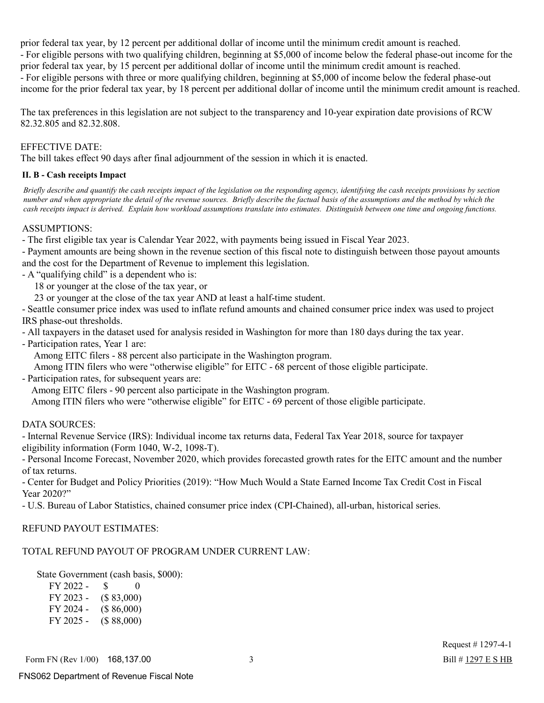prior federal tax year, by 12 percent per additional dollar of income until the minimum credit amount is reached. - For eligible persons with two qualifying children, beginning at \$5,000 of income below the federal phase-out income for the prior federal tax year, by 15 percent per additional dollar of income until the minimum credit amount is reached. - For eligible persons with three or more qualifying children, beginning at \$5,000 of income below the federal phase-out income for the prior federal tax year, by 18 percent per additional dollar of income until the minimum credit amount is reached.

The tax preferences in this legislation are not subject to the transparency and 10-year expiration date provisions of RCW 82.32.805 and 82.32.808.

#### EFFECTIVE DATE:

The bill takes effect 90 days after final adjournment of the session in which it is enacted.

#### **II. B - Cash receipts Impact**

 *Briefly describe and quantify the cash receipts impact of the legislation on the responding agency, identifying the cash receipts provisions by section number and when appropriate the detail of the revenue sources. Briefly describe the factual basis of the assumptions and the method by which the cash receipts impact is derived. Explain how workload assumptions translate into estimates. Distinguish between one time and ongoing functions.*

#### ASSUMPTIONS:

- The first eligible tax year is Calendar Year 2022, with payments being issued in Fiscal Year 2023.

- Payment amounts are being shown in the revenue section of this fiscal note to distinguish between those payout amounts and the cost for the Department of Revenue to implement this legislation.

- A "qualifying child" is a dependent who is:

18 or younger at the close of the tax year, or

23 or younger at the close of the tax year AND at least a half-time student.

- Seattle consumer price index was used to inflate refund amounts and chained consumer price index was used to project IRS phase-out thresholds.

- All taxpayers in the dataset used for analysis resided in Washington for more than 180 days during the tax year.

- Participation rates, Year 1 are:

Among EITC filers - 88 percent also participate in the Washington program.

Among ITIN filers who were "otherwise eligible" for EITC - 68 percent of those eligible participate.

- Participation rates, for subsequent years are:

Among EITC filers - 90 percent also participate in the Washington program.

Among ITIN filers who were "otherwise eligible" for EITC - 69 percent of those eligible participate.

#### DATA SOURCES:

- Internal Revenue Service (IRS): Individual income tax returns data, Federal Tax Year 2018, source for taxpayer eligibility information (Form 1040, W-2, 1098-T).

- Personal Income Forecast, November 2020, which provides forecasted growth rates for the EITC amount and the number of tax returns.

- Center for Budget and Policy Priorities (2019): "How Much Would a State Earned Income Tax Credit Cost in Fiscal Year 2020?"

- U.S. Bureau of Labor Statistics, chained consumer price index (CPI-Chained), all-urban, historical series.

#### REFUND PAYOUT ESTIMATES:

### TOTAL REFUND PAYOUT OF PROGRAM UNDER CURRENT LAW:

State Government (cash basis, \$000):

| FY 2022 - | <sup>S</sup><br>$\theta$ |  |
|-----------|--------------------------|--|
| FY 2023 - | (\$83,000)               |  |
| FY 2024 - | (\$86,000)               |  |
| FY 2025 - | (\$88,000)               |  |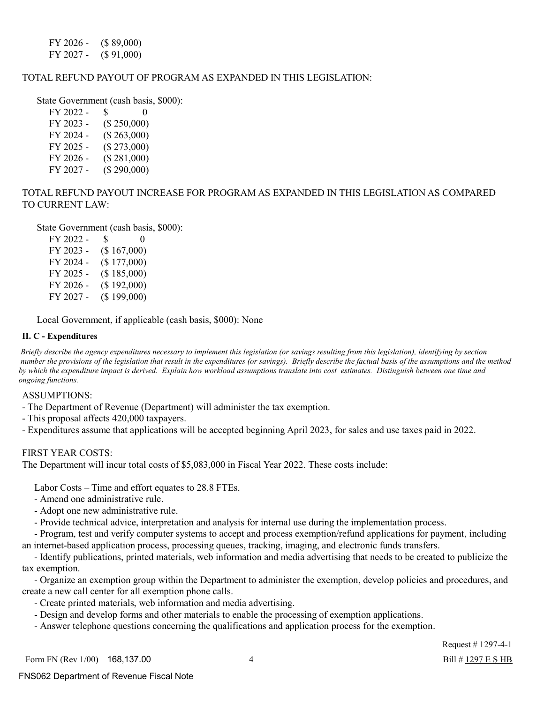FY 2026 - (\$ 89,000) FY 2027 - (\$ 91,000)

#### TOTAL REFUND PAYOUT OF PROGRAM AS EXPANDED IN THIS LEGISLATION:

State Government (cash basis, \$000):

| FY 2022 - | \$<br>$\Omega$ |
|-----------|----------------|
| FY 2023 - | (\$250,000)    |
| FY 2024 - | (\$263,000)    |
| FY 2025 - | (\$273,000)    |
| FY 2026 - | (\$281,000)    |
| FY 2027 - | (\$290,000)    |

#### TOTAL REFUND PAYOUT INCREASE FOR PROGRAM AS EXPANDED IN THIS LEGISLATION AS COMPARED TO CURRENT LAW:

State Government (cash basis, \$000):

| FY 2022 - | \$          | $_{0}$ |
|-----------|-------------|--------|
| FY 2023 - | (\$167,000) |        |
| FY 2024 - | (\$177,000) |        |
| FY 2025 - | (\$185,000) |        |
| FY 2026 - | (\$192,000) |        |
| FY 2027 - | (\$199,000) |        |

Local Government, if applicable (cash basis, \$000): None

#### **II. C - Expenditures**

 *Briefly describe the agency expenditures necessary to implement this legislation (or savings resulting from this legislation), identifying by section number the provisions of the legislation that result in the expenditures (or savings). Briefly describe the factual basis of the assumptions and the method by which the expenditure impact is derived. Explain how workload assumptions translate into cost estimates. Distinguish between one time and ongoing functions.*

ASSUMPTIONS:

- The Department of Revenue (Department) will administer the tax exemption.

- This proposal affects 420,000 taxpayers.

- Expenditures assume that applications will be accepted beginning April 2023, for sales and use taxes paid in 2022.

#### FIRST YEAR COSTS:

The Department will incur total costs of \$5,083,000 in Fiscal Year 2022. These costs include:

Labor Costs – Time and effort equates to 28.8 FTEs.

- Amend one administrative rule.
- Adopt one new administrative rule.
- Provide technical advice, interpretation and analysis for internal use during the implementation process.

 - Program, test and verify computer systems to accept and process exemption/refund applications for payment, including an internet-based application process, processing queues, tracking, imaging, and electronic funds transfers.

 - Identify publications, printed materials, web information and media advertising that needs to be created to publicize the tax exemption.

 - Organize an exemption group within the Department to administer the exemption, develop policies and procedures, and create a new call center for all exemption phone calls.

- Create printed materials, web information and media advertising.
- Design and develop forms and other materials to enable the processing of exemption applications.
- Answer telephone questions concerning the qualifications and application process for the exemption.

Request # 1297-4-1 Bill # 1297 E S HB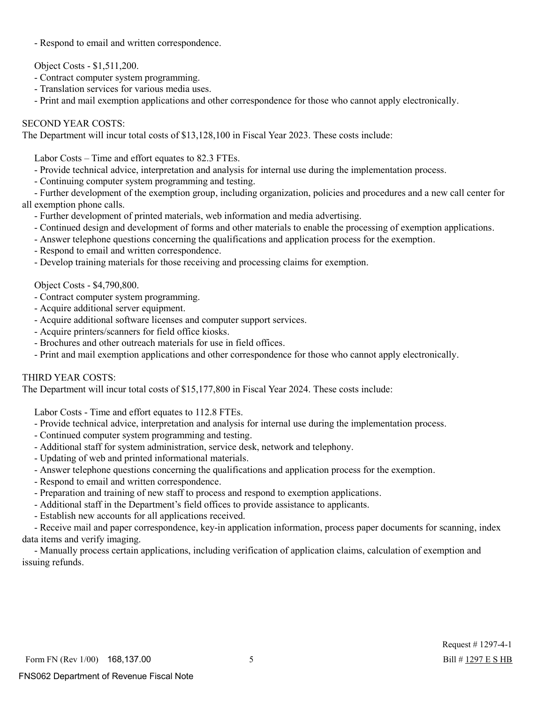- Respond to email and written correspondence.

Object Costs - \$1,511,200.

- Contract computer system programming.
- Translation services for various media uses.
- Print and mail exemption applications and other correspondence for those who cannot apply electronically.

#### SECOND YEAR COSTS:

The Department will incur total costs of \$13,128,100 in Fiscal Year 2023. These costs include:

Labor Costs – Time and effort equates to 82.3 FTEs.

- Provide technical advice, interpretation and analysis for internal use during the implementation process.
- Continuing computer system programming and testing.

 - Further development of the exemption group, including organization, policies and procedures and a new call center for all exemption phone calls.

- Further development of printed materials, web information and media advertising.
- Continued design and development of forms and other materials to enable the processing of exemption applications.
- Answer telephone questions concerning the qualifications and application process for the exemption.
- Respond to email and written correspondence.
- Develop training materials for those receiving and processing claims for exemption.

Object Costs - \$4,790,800.

- Contract computer system programming.
- Acquire additional server equipment.
- Acquire additional software licenses and computer support services.
- Acquire printers/scanners for field office kiosks.
- Brochures and other outreach materials for use in field offices.
- Print and mail exemption applications and other correspondence for those who cannot apply electronically.

#### THIRD YEAR COSTS:

The Department will incur total costs of \$15,177,800 in Fiscal Year 2024. These costs include:

Labor Costs - Time and effort equates to 112.8 FTEs.

- Provide technical advice, interpretation and analysis for internal use during the implementation process.
- Continued computer system programming and testing.
- Additional staff for system administration, service desk, network and telephony.
- Updating of web and printed informational materials.
- Answer telephone questions concerning the qualifications and application process for the exemption.
- Respond to email and written correspondence.
- Preparation and training of new staff to process and respond to exemption applications.
- Additional staff in the Department's field offices to provide assistance to applicants.
- Establish new accounts for all applications received.

 - Receive mail and paper correspondence, key-in application information, process paper documents for scanning, index data items and verify imaging.

 - Manually process certain applications, including verification of application claims, calculation of exemption and issuing refunds.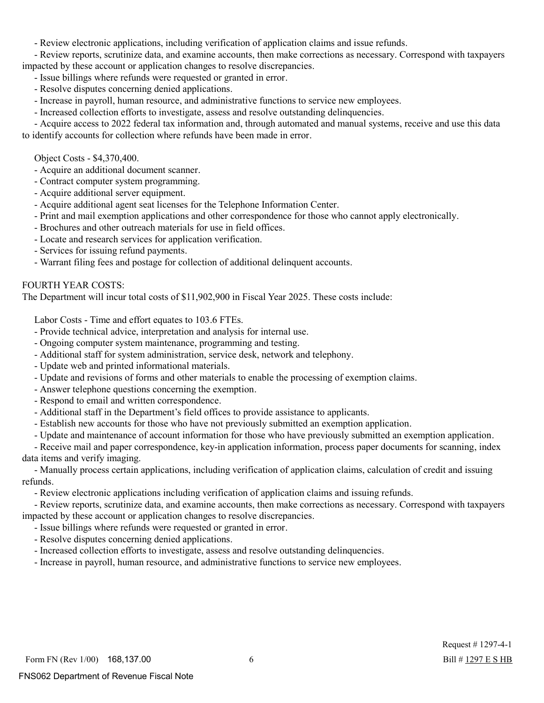- Review electronic applications, including verification of application claims and issue refunds.

 - Review reports, scrutinize data, and examine accounts, then make corrections as necessary. Correspond with taxpayers impacted by these account or application changes to resolve discrepancies.

- Issue billings where refunds were requested or granted in error.
- Resolve disputes concerning denied applications.
- Increase in payroll, human resource, and administrative functions to service new employees.
- Increased collection efforts to investigate, assess and resolve outstanding delinquencies.

 - Acquire access to 2022 federal tax information and, through automated and manual systems, receive and use this data to identify accounts for collection where refunds have been made in error.

Object Costs - \$4,370,400.

- Acquire an additional document scanner.
- Contract computer system programming.
- Acquire additional server equipment.
- Acquire additional agent seat licenses for the Telephone Information Center.
- Print and mail exemption applications and other correspondence for those who cannot apply electronically.
- Brochures and other outreach materials for use in field offices.
- Locate and research services for application verification.
- Services for issuing refund payments.
- Warrant filing fees and postage for collection of additional delinquent accounts.

#### FOURTH YEAR COSTS:

The Department will incur total costs of \$11,902,900 in Fiscal Year 2025. These costs include:

Labor Costs - Time and effort equates to 103.6 FTEs.

- Provide technical advice, interpretation and analysis for internal use.
- Ongoing computer system maintenance, programming and testing.
- Additional staff for system administration, service desk, network and telephony.
- Update web and printed informational materials.
- Update and revisions of forms and other materials to enable the processing of exemption claims.
- Answer telephone questions concerning the exemption.
- Respond to email and written correspondence.
- Additional staff in the Department's field offices to provide assistance to applicants.
- Establish new accounts for those who have not previously submitted an exemption application.
- Update and maintenance of account information for those who have previously submitted an exemption application.

 - Receive mail and paper correspondence, key-in application information, process paper documents for scanning, index data items and verify imaging.

 - Manually process certain applications, including verification of application claims, calculation of credit and issuing refunds.

- Review electronic applications including verification of application claims and issuing refunds.

 - Review reports, scrutinize data, and examine accounts, then make corrections as necessary. Correspond with taxpayers impacted by these account or application changes to resolve discrepancies.

- Issue billings where refunds were requested or granted in error.
- Resolve disputes concerning denied applications.
- Increased collection efforts to investigate, assess and resolve outstanding delinquencies.
- Increase in payroll, human resource, and administrative functions to service new employees.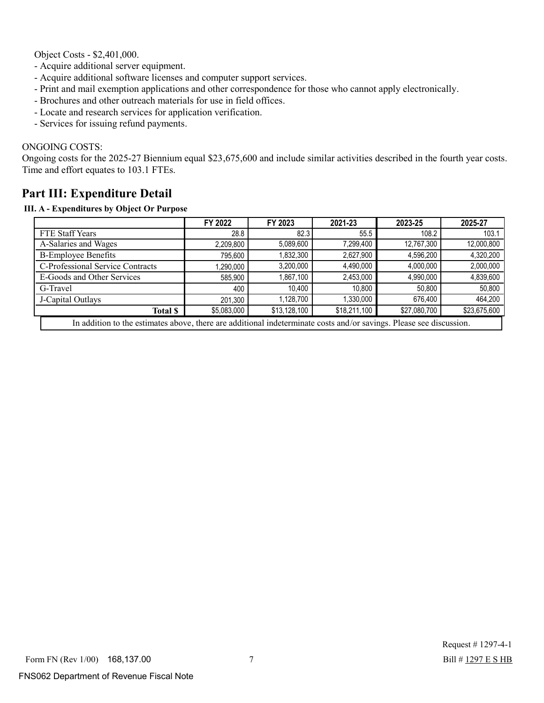Object Costs - \$2,401,000.

- Acquire additional server equipment.
- Acquire additional software licenses and computer support services.
- Print and mail exemption applications and other correspondence for those who cannot apply electronically.
- Brochures and other outreach materials for use in field offices.
- Locate and research services for application verification.
- Services for issuing refund payments.

#### ONGOING COSTS:

Ongoing costs for the 2025-27 Biennium equal \$23,675,600 and include similar activities described in the fourth year costs. Time and effort equates to 103.1 FTEs.

## **Part III: Expenditure Detail**

#### **III. A - Expenditures by Object Or Purpose**

|                                                                                                                     | FY 2022     | FY 2023      | 2021-23      | 2023-25      | 2025-27      |
|---------------------------------------------------------------------------------------------------------------------|-------------|--------------|--------------|--------------|--------------|
| <b>FTE Staff Years</b>                                                                                              | 28.8        | 82.3         | 55.5         | 108.2        | 103.1        |
| A-Salaries and Wages                                                                                                | 2,209,800   | 5,089,600    | 7,299,400    | 12,767,300   | 12,000,800   |
| <b>B-Employee Benefits</b>                                                                                          | 795,600     | 1,832,300    | 2,627,900    | 4,596,200    | 4,320,200    |
| C-Professional Service Contracts                                                                                    | 1,290,000   | 3,200,000    | 4,490,000    | 4,000,000    | 2,000,000    |
| E-Goods and Other Services                                                                                          | 585,900     | 1,867,100    | 2,453,000    | 4,990,000    | 4,839,600    |
| G-Travel                                                                                                            | 400         | 10,400       | 10.800       | 50,800       | 50,800       |
| J-Capital Outlays                                                                                                   | 201.300     | 1,128,700    | 1.330.000    | 676.400      | 464,200      |
| <b>Total \$</b>                                                                                                     | \$5,083,000 | \$13,128,100 | \$18,211,100 | \$27,080,700 | \$23,675,600 |
| In addition to the estimates above, there are additional indeterminate costs and/or savings. Please see discussion. |             |              |              |              |              |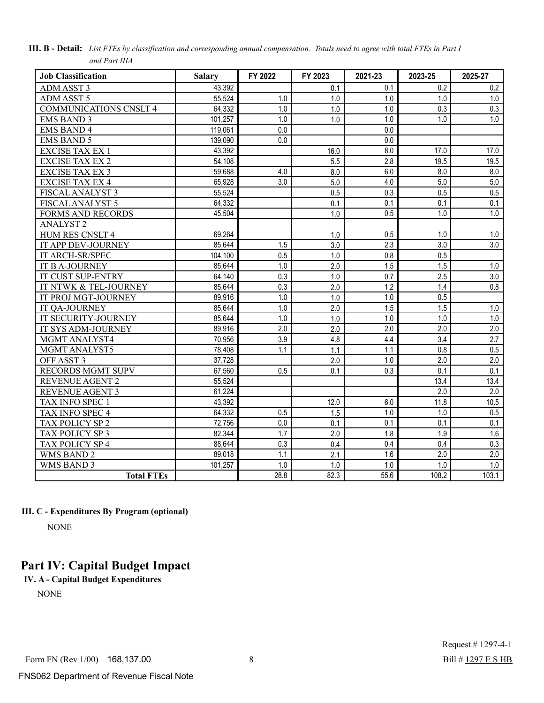| <b>Job Classification</b>     | <b>Salary</b> | FY 2022 | FY 2023 | 2021-23 | 2023-25          | 2025-27 |
|-------------------------------|---------------|---------|---------|---------|------------------|---------|
| <b>ADM ASST 3</b>             | 43,392        |         | 0.1     | 0.1     | 0.2              | 0.2     |
| <b>ADM ASST 5</b>             | 55,524        | 1.0     | 1.0     | 1.0     | 1.0              | 1.0     |
| <b>COMMUNICATIONS CNSLT 4</b> | 64,332        | 1.0     | 1.0     | 1.0     | 0.3              | 0.3     |
| <b>EMS BAND 3</b>             | 101,257       | 1.0     | 1.0     | 1.0     | 1.0              | 1.0     |
| <b>EMS BAND 4</b>             | 119,061       | 0.0     |         | 0.0     |                  |         |
| <b>EMS BAND 5</b>             | 139,090       | 0.0     |         | 0.0     |                  |         |
| <b>EXCISE TAX EX 1</b>        | 43,392        |         | 16.0    | 8.0     | 17.0             | 17.0    |
| <b>EXCISE TAX EX 2</b>        | 54,108        |         | 5.5     | 2.8     | 19.5             | 19.5    |
| EXCISE TAX EX 3               | 59,688        | 4.0     | 8.0     | 6.0     | 8.0              | 8.0     |
| <b>EXCISE TAX EX 4</b>        | 65,928        | 3.0     | 5.0     | 4.0     | 5.0              | 5.0     |
| FISCAL ANALYST 3              | 55,524        |         | 0.5     | 0.3     | 0.5              | 0.5     |
| FISCAL ANALYST 5              | 64,332        |         | 0.1     | 0.1     | 0.1              | 0.1     |
| <b>FORMS AND RECORDS</b>      | 45,504        |         | 1.0     | 0.5     | $1.0$            | 1.0     |
| <b>ANALYST2</b>               |               |         |         |         |                  |         |
| HUM RES CNSLT 4               | 69,264        |         | 1.0     | 0.5     | 1.0              | 1.0     |
| IT APP DEV-JOURNEY            | 85,644        | 1.5     | 3.0     | 2.3     | 3.0              | 3.0     |
| IT ARCH-SR/SPEC               | 104,100       | 0.5     | 1.0     | 0.8     | 0.5              |         |
| <b>IT B A-JOURNEY</b>         | 85,644        | 1.0     | 2.0     | 1.5     | 1.5              | 1.0     |
| <b>IT CUST SUP-ENTRY</b>      | 64,140        | 0.3     | 1.0     | 0.7     | 2.5              | 3.0     |
| IT NTWK & TEL-JOURNEY         | 85,644        | 0.3     | 2.0     | 1.2     | 1.4              | 0.8     |
| IT PROJ MGT-JOURNEY           | 89,916        | 1.0     | 1.0     | 1.0     | 0.5              |         |
| IT QA-JOURNEY                 | 85,644        | 1.0     | 2.0     | 1.5     | 1.5              | 1.0     |
| IT SECURITY-JOURNEY           | 85,644        | 1.0     | 1.0     | 1.0     | 1.0              | 1.0     |
| IT SYS ADM-JOURNEY            | 89,916        | 2.0     | 2.0     | 2.0     | 2.0              | 2.0     |
| MGMT ANALYST4                 | 70,956        | 3.9     | 4.8     | 4.4     | 3.4              | 2.7     |
| MGMT ANALYST5                 | 78,408        | 1.1     | 1.1     | 1.1     | 0.8              | 0.5     |
| OFF ASST 3                    | 37,728        |         | 2.0     | 1.0     | 2.0              | 2.0     |
| <b>RECORDS MGMT SUPV</b>      | 67,560        | 0.5     | 0.1     | 0.3     | $\overline{0.1}$ | 0.1     |
| <b>REVENUE AGENT 2</b>        | 55,524        |         |         |         | 13.4             | 13.4    |
| <b>REVENUE AGENT 3</b>        | 61,224        |         |         |         | 2.0              | 2.0     |
| TAX INFO SPEC 1               | 43,392        |         | 12.0    | 6.0     | 11.8             | 10.5    |
| TAX INFO SPEC 4               | 64,332        | 0.5     | 1.5     | 1.0     | 1.0              | 0.5     |
| TAX POLICY SP 2               | 72,756        | 0.0     | 0.1     | 0.1     | 0.1              | 0.1     |
| TAX POLICY SP 3               | 82,344        | 1.7     | 2.0     | 1.8     | 1.9              | 1.6     |
| TAX POLICY SP 4               | 88,644        | 0.3     | 0.4     | 0.4     | 0.4              | 0.3     |
| <b>WMS BAND 2</b>             | 89,018        | 1.1     | 2.1     | 1.6     | 2.0              | 2.0     |
| <b>WMS BAND 3</b>             | 101,257       | 1.0     | 1.0     | 1.0     | 1.0              | 1.0     |
| <b>Total FTEs</b>             |               | 28.8    | 82.3    | 55.6    | 108.2            | 103.1   |

| III. B - Detail: List FTEs by classification and corresponding annual compensation. Totals need to agree with total FTEs in Part I |  |
|------------------------------------------------------------------------------------------------------------------------------------|--|
| and Part IIIA                                                                                                                      |  |

#### **III. C - Expenditures By Program (optional)**

NONE

## **Part IV: Capital Budget Impact**

## **IV. A - Capital Budget Expenditures**

NONE